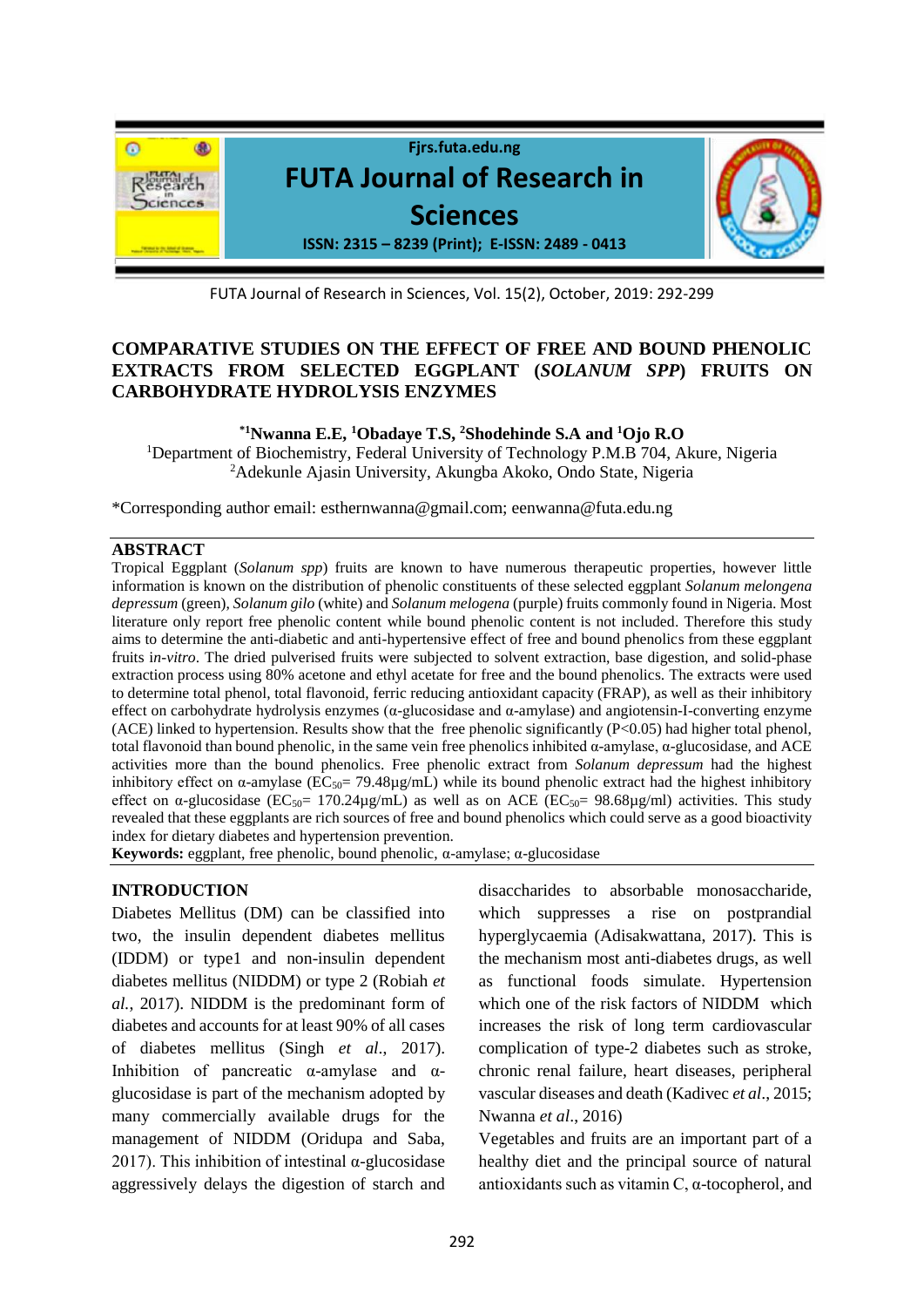

FUTA Journal of Research in Sciences, Vol. 15(2), October, 2019: 292-299

# **COMPARATIVE STUDIES ON THE EFFECT OF FREE AND BOUND PHENOLIC EXTRACTS FROM SELECTED EGGPLANT (***SOLANUM SPP***) FRUITS ON CARBOHYDRATE HYDROLYSIS ENZYMES**

### **\*1Nwanna E.E, <sup>1</sup>Obadaye T.S, <sup>2</sup>Shodehinde S.A and <sup>1</sup>Ojo R.O**

<sup>1</sup>Department of Biochemistry, Federal University of Technology P.M.B 704, Akure, Nigeria <sup>2</sup>Adekunle Ajasin University, Akungba Akoko, Ondo State, Nigeria

\*Corresponding author email: [esthernwanna@gmail.com;](about:blank) eenwanna@futa.edu.ng

#### **ABSTRACT**

Tropical Eggplant (*Solanum spp*) fruits are known to have numerous therapeutic properties, however little information is known on the distribution of phenolic constituents of these selected eggplant *Solanum melongena depressum* (green), *Solanum gilo* (white) and *Solanum melogena* (purple) fruits commonly found in Nigeria. Most literature only report free phenolic content while bound phenolic content is not included. Therefore this study aims to determine the anti-diabetic and anti-hypertensive effect of free and bound phenolics from these eggplant fruits i*n-vitro*. The dried pulverised fruits were subjected to solvent extraction, base digestion, and solid-phase extraction process using 80% acetone and ethyl acetate for free and the bound phenolics. The extracts were used to determine total phenol, total flavonoid, ferric reducing antioxidant capacity (FRAP), as well as their inhibitory effect on carbohydrate hydrolysis enzymes (α-glucosidase and α-amylase) and angiotensin-I-converting enzyme (ACE) linked to hypertension. Results show that the free phenolic significantly (P<0.05) had higher total phenol, total flavonoid than bound phenolic, in the same vein free phenolics inhibited α-amylase, α-glucosidase, and ACE activities more than the bound phenolics. Free phenolic extract from *Solanum depressum* had the highest inhibitory effect on  $\alpha$ -amylase (EC<sub>50</sub>= 79.48 $\mu$ g/mL) while its bound phenolic extract had the highest inhibitory effect on  $\alpha$ -glucosidase (EC<sub>50</sub>= 170.24µg/mL) as well as on ACE (EC<sub>50</sub>= 98.68µg/ml) activities. This study revealed that these eggplants are rich sources of free and bound phenolics which could serve as a good bioactivity index for dietary diabetes and hypertension prevention.

**Keywords:** eggplant, free phenolic, bound phenolic, α-amylase; α-glucosidase

### **INTRODUCTION**

Diabetes Mellitus (DM) can be classified into two, the insulin dependent diabetes mellitus (IDDM) or type1 and non-insulin dependent diabetes mellitus (NIDDM) or type 2 (Robiah *et al.*, 2017). NIDDM is the predominant form of diabetes and accounts for at least 90% of all cases of diabetes mellitus (Singh *et al*., 2017). Inhibition of pancreatic α-amylase and  $α$ glucosidase is part of the mechanism adopted by many commercially available drugs for the management of NIDDM (Oridupa and Saba, 2017). This inhibition of intestinal  $\alpha$ -glucosidase aggressively delays the digestion of starch and

disaccharides to absorbable monosaccharide, which suppresses a rise on postprandial hyperglycaemia (Adisakwattana, 2017). This is the mechanism most anti-diabetes drugs, as well as functional foods simulate. Hypertension which one of the risk factors of NIDDM which increases the risk of long term cardiovascular complication of type-2 diabetes such as stroke, chronic renal failure, heart diseases, peripheral vascular diseases and death (Kadivec *et al*., 2015; Nwanna *et al*., 2016)

Vegetables and fruits are an important part of a healthy diet and the principal source of natural antioxidants such as vitamin C, α-tocopherol, and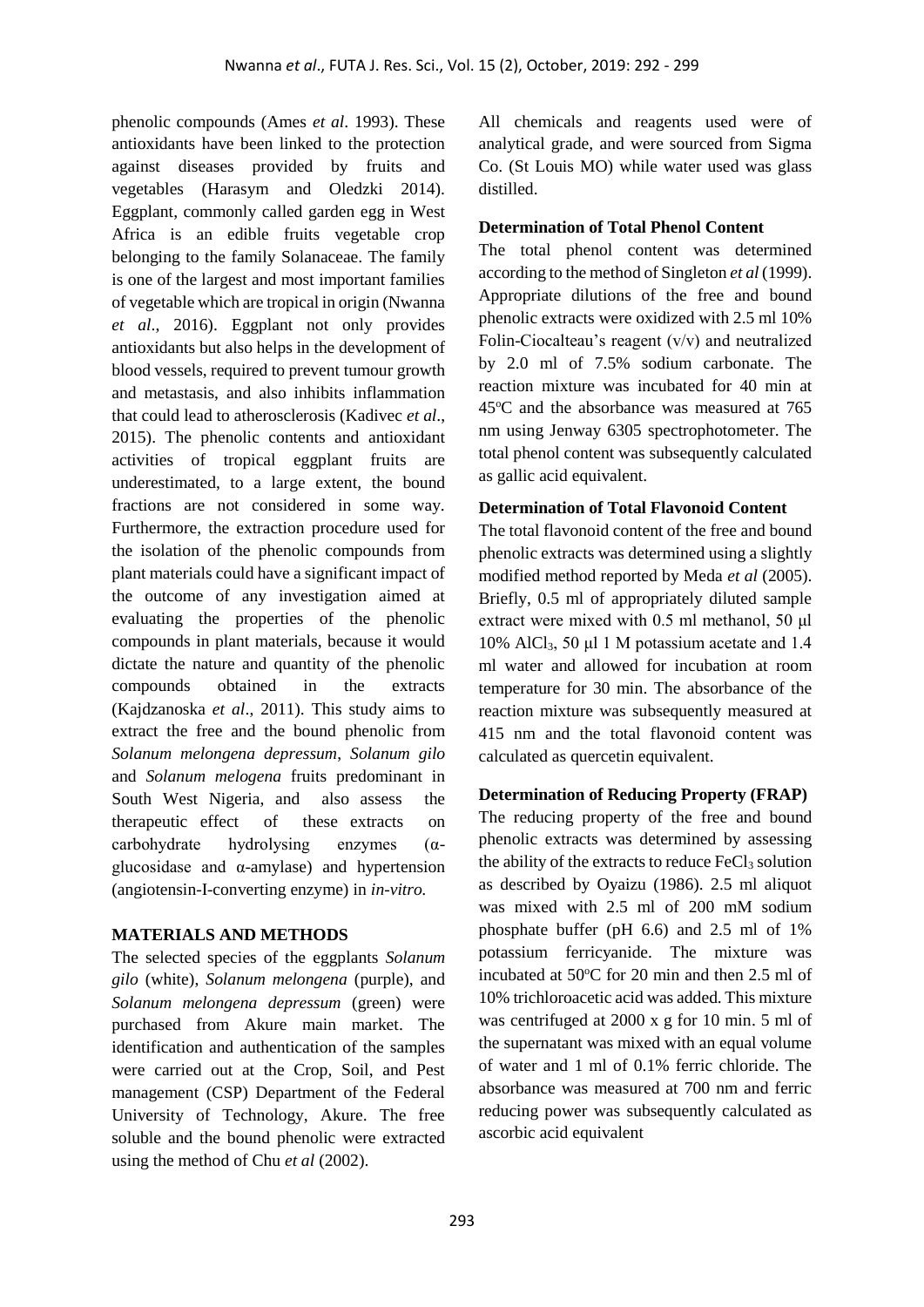phenolic compounds (Ames *et al*. 1993). These antioxidants have been linked to the protection against diseases provided by fruits and vegetables (Harasym and Oledzki 2014). Eggplant, commonly called garden egg in West Africa is an edible fruits vegetable crop belonging to the family Solanaceae. The family is one of the largest and most important families of vegetable which are tropical in origin (Nwanna *et al*., 2016). Eggplant not only provides antioxidants but also helps in the development of blood vessels, required to prevent tumour growth and metastasis, and also inhibits inflammation that could lead to atherosclerosis (Kadivec *et al*., 2015). The phenolic contents and antioxidant activities of tropical eggplant fruits are underestimated, to a large extent, the bound fractions are not considered in some way. Furthermore, the extraction procedure used for the isolation of the phenolic compounds from plant materials could have a significant impact of the outcome of any investigation aimed at evaluating the properties of the phenolic compounds in plant materials, because it would dictate the nature and quantity of the phenolic compounds obtained in the extracts (Kajdzanoska *et al*., 2011). This study aims to extract the free and the bound phenolic from *Solanum melongena depressum*, *Solanum gilo* and *Solanum melogena* fruits predominant in South West Nigeria, and also assess the therapeutic effect of these extracts on carbohydrate hydrolysing enzymes (αglucosidase and α-amylase) and hypertension (angiotensin-I-converting enzyme) in *in-vitro.*

## **MATERIALS AND METHODS**

The selected species of the eggplants *Solanum gilo* (white), *Solanum melongena* (purple), and *Solanum melongena depressum* (green) were purchased from Akure main market. The identification and authentication of the samples were carried out at the Crop, Soil, and Pest management (CSP) Department of the Federal University of Technology, Akure. The free soluble and the bound phenolic were extracted using the method of Chu *et al* (2002).

All chemicals and reagents used were of analytical grade, and were sourced from Sigma Co. (St Louis MO) while water used was glass distilled.

## **Determination of Total Phenol Content**

The total phenol content was determined according to the method of Singleton *et al* (1999). Appropriate dilutions of the free and bound phenolic extracts were oxidized with 2.5 ml 10% Folin-Ciocalteau's reagent (v/v) and neutralized by 2.0 ml of 7.5% sodium carbonate. The reaction mixture was incubated for 40 min at 45°C and the absorbance was measured at 765 nm using Jenway 6305 spectrophotometer. The total phenol content was subsequently calculated as gallic acid equivalent.

## **Determination of Total Flavonoid Content**

The total flavonoid content of the free and bound phenolic extracts was determined using a slightly modified method reported by Meda *et al* (2005). Briefly, 0.5 ml of appropriately diluted sample extract were mixed with 0.5 ml methanol, 50 μl 10% AlCl3, 50 μl 1 M potassium acetate and 1.4 ml water and allowed for incubation at room temperature for 30 min. The absorbance of the reaction mixture was subsequently measured at 415 nm and the total flavonoid content was calculated as quercetin equivalent.

## **Determination of Reducing Property (FRAP)**

The reducing property of the free and bound phenolic extracts was determined by assessing the ability of the extracts to reduce  $FeCl<sub>3</sub>$  solution as described by Oyaizu (1986). 2.5 ml aliquot was mixed with 2.5 ml of 200 mM sodium phosphate buffer (pH 6.6) and 2.5 ml of 1% potassium ferricyanide. The mixture was incubated at  $50^{\circ}$ C for 20 min and then 2.5 ml of 10% trichloroacetic acid was added. This mixture was centrifuged at 2000 x g for 10 min. 5 ml of the supernatant was mixed with an equal volume of water and 1 ml of 0.1% ferric chloride. The absorbance was measured at 700 nm and ferric reducing power was subsequently calculated as ascorbic acid equivalent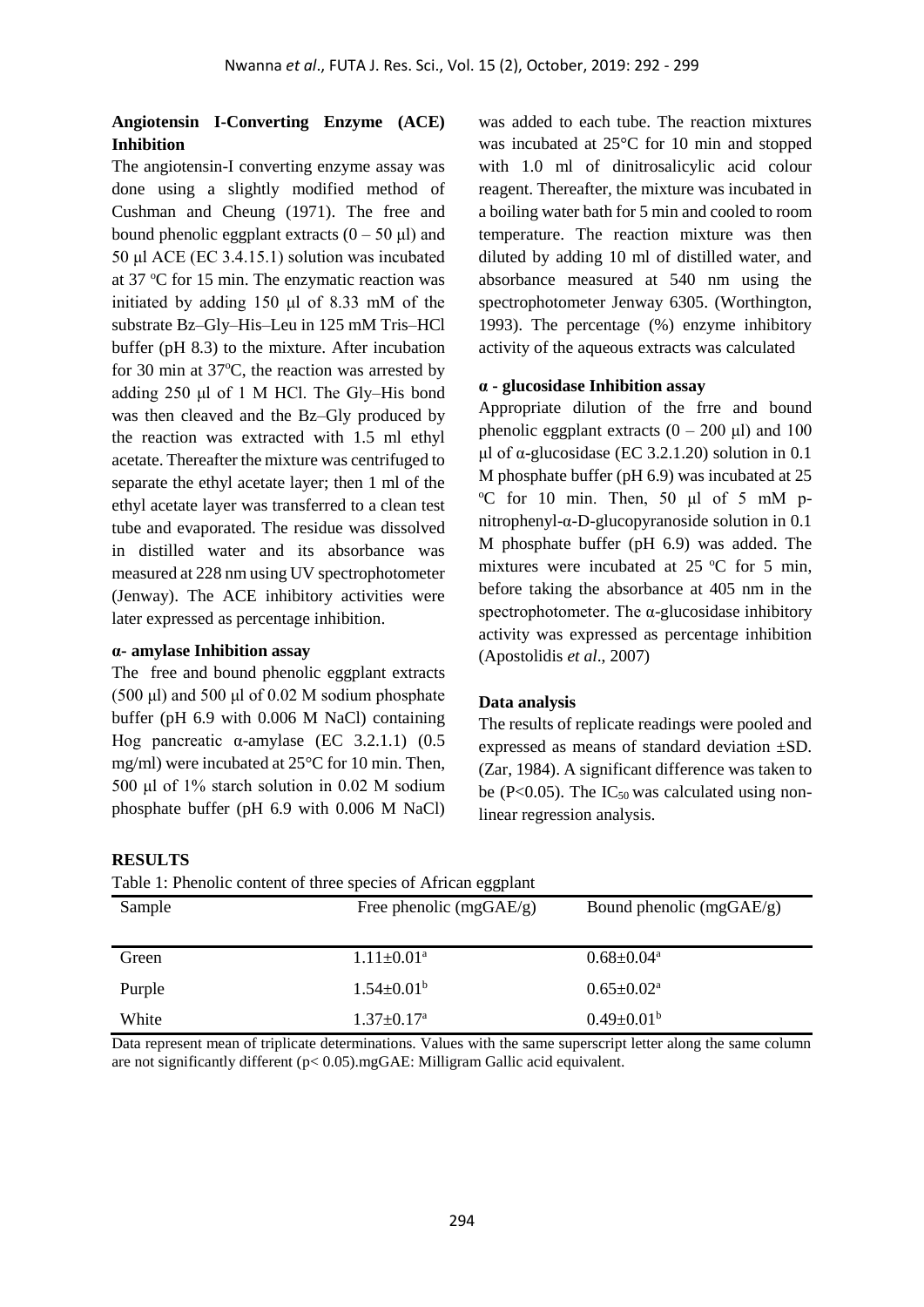## **Angiotensin I-Converting Enzyme (ACE) Inhibition**

The angiotensin-I converting enzyme assay was done using a slightly modified method of Cushman and Cheung (1971). The free and bound phenolic eggplant extracts  $(0 - 50 \text{ ul})$  and 50 μl ACE (EC 3.4.15.1) solution was incubated at 37  $\mathrm{C}$  for 15 min. The enzymatic reaction was initiated by adding 150 μl of 8.33 mM of the substrate Bz–Gly–His–Leu in 125 mM Tris–HCl buffer (pH 8.3) to the mixture. After incubation for 30 min at  $37^{\circ}$ C, the reaction was arrested by adding 250 μl of 1 M HCl. The Gly–His bond was then cleaved and the Bz–Gly produced by the reaction was extracted with 1.5 ml ethyl acetate. Thereafter the mixture was centrifuged to separate the ethyl acetate layer; then 1 ml of the ethyl acetate layer was transferred to a clean test tube and evaporated. The residue was dissolved in distilled water and its absorbance was measured at 228 nm using UV spectrophotometer (Jenway). The ACE inhibitory activities were later expressed as percentage inhibition.

#### **α- amylase Inhibition assay**

**RESULTS**

The free and bound phenolic eggplant extracts  $(500 \mu l)$  and  $500 \mu l$  of 0.02 M sodium phosphate buffer (pH 6.9 with 0.006 M NaCl) containing Hog pancreatic α-amylase (EC 3.2.1.1)  $(0.5)$ mg/ml) were incubated at 25°C for 10 min. Then, 500 μl of 1% starch solution in 0.02 M sodium phosphate buffer (pH 6.9 with 0.006 M NaCl) was added to each tube. The reaction mixtures was incubated at 25°C for 10 min and stopped with 1.0 ml of dinitrosalicylic acid colour reagent. Thereafter, the mixture was incubated in a boiling water bath for 5 min and cooled to room temperature. The reaction mixture was then diluted by adding 10 ml of distilled water, and absorbance measured at 540 nm using the spectrophotometer Jenway 6305. (Worthington, 1993). The percentage (%) enzyme inhibitory activity of the aqueous extracts was calculated

#### **α - glucosidase Inhibition assay**

Appropriate dilution of the frre and bound phenolic eggplant extracts  $(0 - 200 \mu l)$  and 100 μl of α-glucosidase (EC 3.2.1.20) solution in 0.1 M phosphate buffer (pH 6.9) was incubated at 25  $\degree$ C for 10 min. Then, 50  $\mu$ l of 5 mM pnitrophenyl-α-D-glucopyranoside solution in 0.1 M phosphate buffer (pH 6.9) was added. The mixtures were incubated at  $25^{\circ}$ C for 5 min, before taking the absorbance at 405 nm in the spectrophotometer. The  $\alpha$ -glucosidase inhibitory activity was expressed as percentage inhibition (Apostolidis *et al*., 2007)

#### **Data analysis**

The results of replicate readings were pooled and expressed as means of standard deviation ±SD. (Zar, 1984). A significant difference was taken to be (P<0.05). The  $IC_{50}$  was calculated using nonlinear regression analysis.

| Table 1: Phenolic content of three species of African eggplant |                              |                            |
|----------------------------------------------------------------|------------------------------|----------------------------|
| Sample                                                         | Free phenolic $(mgGAE/g)$    | Bound phenolic $(mgGAE/g)$ |
|                                                                |                              |                            |
| Green                                                          | $1.11 \pm 0.01^a$            | $0.68 \pm 0.04^{\text{a}}$ |
| Purple                                                         | $1.54 \pm 0.01^b$            | $0.65 \pm 0.02^{\text{a}}$ |
| White                                                          | $1.37 \pm 0.17$ <sup>a</sup> | $0.49 \pm 0.01^b$          |

Data represent mean of triplicate determinations. Values with the same superscript letter along the same column are not significantly different  $(p< 0.05)$ .mgGAE: Milligram Gallic acid equivalent.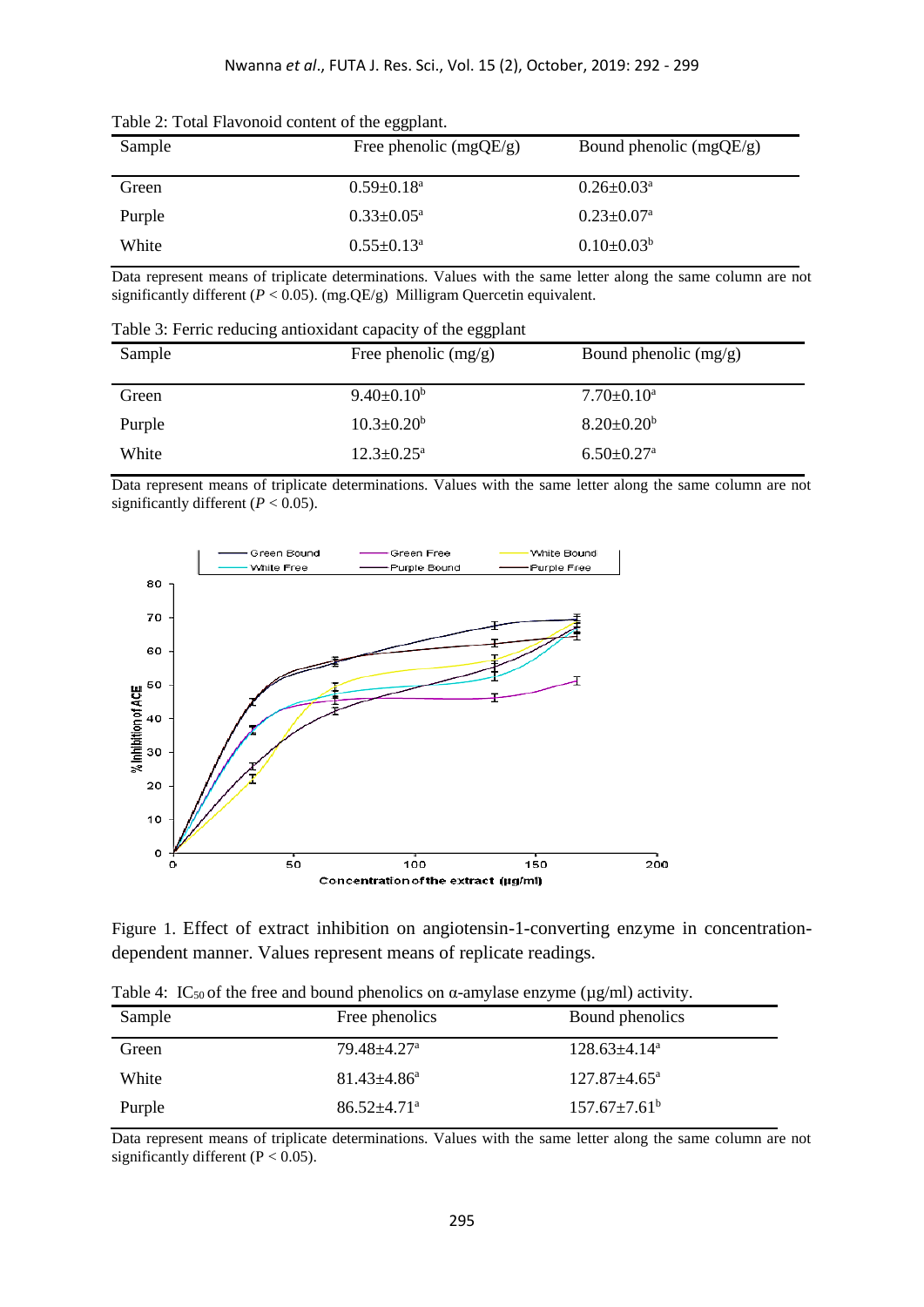| Table 2: Total Flavonoid content of the eggplant. |  |
|---------------------------------------------------|--|
|---------------------------------------------------|--|

| Sample | Free phenolic $(mgQE/g)$   | Bound phenolic $(mgQE/g)$  |
|--------|----------------------------|----------------------------|
| Green  | $0.59 \pm 0.18^{\text{a}}$ | $0.26 \pm 0.03^{\text{a}}$ |
| Purple | $0.33 \pm 0.05^{\text{a}}$ | $0.23 \pm 0.07^{\text{a}}$ |
| White  | $0.55 \pm 0.13^{\text{a}}$ | $0.10 \pm 0.03^b$          |

Data represent means of triplicate determinations. Values with the same letter along the same column are not significantly different (*P* < 0.05). (mg.QE/g) Milligram Quercetin equivalent.

Table 3: Ferric reducing antioxidant capacity of the eggplant

| Sample | Free phenolic $(mg/g)$     | Bound phenolic $(mg/g)$      |
|--------|----------------------------|------------------------------|
| Green  | $9.40 \pm 0.10^b$          | $7.70 \pm 0.10^a$            |
| Purple | $10.3 \pm 0.20^b$          | $8.20 \pm 0.20^b$            |
| White  | $12.3 \pm 0.25^{\text{a}}$ | $6.50 \pm 0.27$ <sup>a</sup> |

Data represent means of triplicate determinations. Values with the same letter along the same column are not significantly different  $(P < 0.05)$ .



Figure 1. Effect of extract inhibition on angiotensin-1-converting enzyme in concentrationdependent manner. Values represent means of replicate readings.

Table 4: IC<sub>50</sub> of the free and bound phenolics on  $\alpha$ -amylase enzyme ( $\mu$ g/ml) activity.

| Sample | Free phenolics                | Bound phenolics                |
|--------|-------------------------------|--------------------------------|
| Green  | 79.48±4.27ª                   | $128.63 \pm 4.14$ <sup>a</sup> |
| White  | $81.43 \pm 4.86^a$            | $127.87 \pm 4.65^{\circ}$      |
| Purple | $86.52 \pm 4.71$ <sup>a</sup> | $157.67 \pm 7.61^{\circ}$      |

Data represent means of triplicate determinations. Values with the same letter along the same column are not significantly different ( $P < 0.05$ ).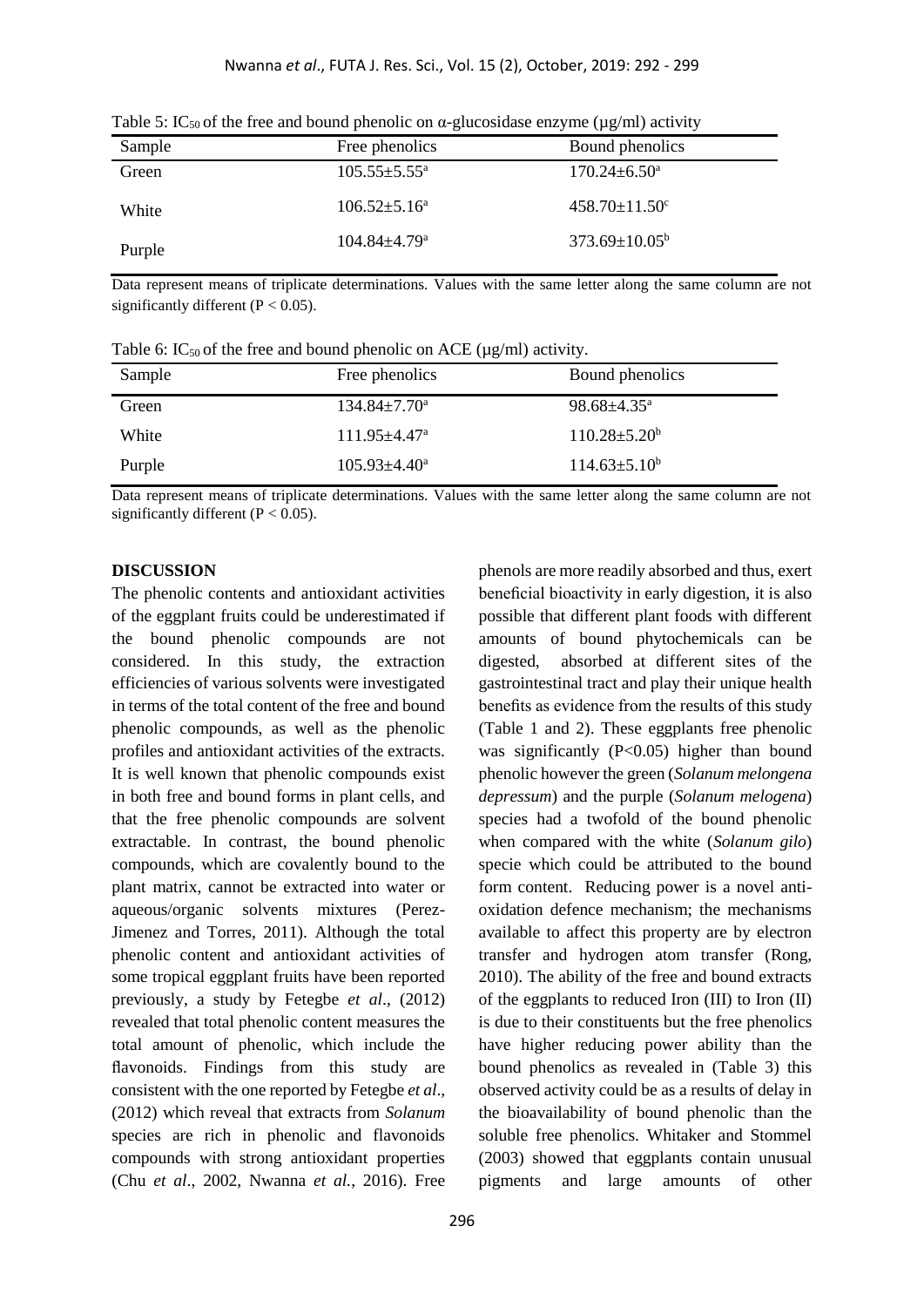| Sample | Free phenolics                 | Bound phenolics                 |
|--------|--------------------------------|---------------------------------|
| Green  | $105.55 \pm 5.55^{\mathrm{a}}$ | $170.24 \pm 6.50^{\circ}$       |
| White  | $106.52 \pm 5.16^a$            | $458.70 \pm 11.50$ <sup>c</sup> |
| Purple | $104.84 \pm 4.79$ <sup>a</sup> | $373.69 \pm 10.05^b$            |

Table 5: IC<sub>50</sub> of the free and bound phenolic on  $\alpha$ -glucosidase enzyme (ug/ml) activity

Data represent means of triplicate determinations. Values with the same letter along the same column are not significantly different ( $P < 0.05$ ).

Table 6: IC<sub>50</sub> of the free and bound phenolic on ACE ( $\mu$ g/ml) activity.

| Sample | Free phenolics                 | Bound phenolics             |
|--------|--------------------------------|-----------------------------|
| Green  | $134.84 \pm 7.70^{\circ}$      | $98.68 \pm 4.35^{\text{a}}$ |
| White  | $111.95 \pm 4.47$ <sup>a</sup> | $110.28 \pm 5.20^{\circ}$   |
| Purple | $105.93 \pm 4.40^{\circ}$      | $114.63 \pm 5.10^b$         |

Data represent means of triplicate determinations. Values with the same letter along the same column are not significantly different ( $P < 0.05$ ).

#### **DISCUSSION**

The phenolic contents and antioxidant activities of the eggplant fruits could be underestimated if the bound phenolic compounds are not considered. In this study, the extraction efficiencies of various solvents were investigated in terms of the total content of the free and bound phenolic compounds, as well as the phenolic profiles and antioxidant activities of the extracts. It is well known that phenolic compounds exist in both free and bound forms in plant cells, and that the free phenolic compounds are solvent extractable. In contrast, the bound phenolic compounds, which are covalently bound to the plant matrix, cannot be extracted into water or aqueous/organic solvents mixtures (Perez-Jimenez and Torres, 2011). Although the total phenolic content and antioxidant activities of some tropical eggplant fruits have been reported previously, a study by Fetegbe *et al*., (2012) revealed that total phenolic content measures the total amount of phenolic, which include the flavonoids. Findings from this study are consistent with the one reported by Fetegbe *et al*., (2012) which reveal that extracts from *Solanum*  species are rich in phenolic and flavonoids compounds with strong antioxidant properties (Chu *et al*., 2002, Nwanna *et al.*, 2016). Free

phenols are more readily absorbed and thus, exert beneficial bioactivity in early digestion, it is also possible that different plant foods with different amounts of bound phytochemicals can be digested, absorbed at different sites of the gastrointestinal tract and play their unique health benefits as evidence from the results of this study (Table 1 and 2). These eggplants free phenolic was significantly  $(P<0.05)$  higher than bound phenolic however the green (*Solanum melongena depressum*) and the purple (*Solanum melogena*) species had a twofold of the bound phenolic when compared with the white (*Solanum gilo*) specie which could be attributed to the bound form content. Reducing power is a novel antioxidation defence mechanism; the mechanisms available to affect this property are by electron transfer and hydrogen atom transfer (Rong, 2010). The ability of the free and bound extracts of the eggplants to reduced Iron (III) to Iron (II) is due to their constituents but the free phenolics have higher reducing power ability than the bound phenolics as revealed in (Table 3) this observed activity could be as a results of delay in the bioavailability of bound phenolic than the soluble free phenolics. Whitaker and Stommel (2003) showed that eggplants contain unusual pigments and large amounts of other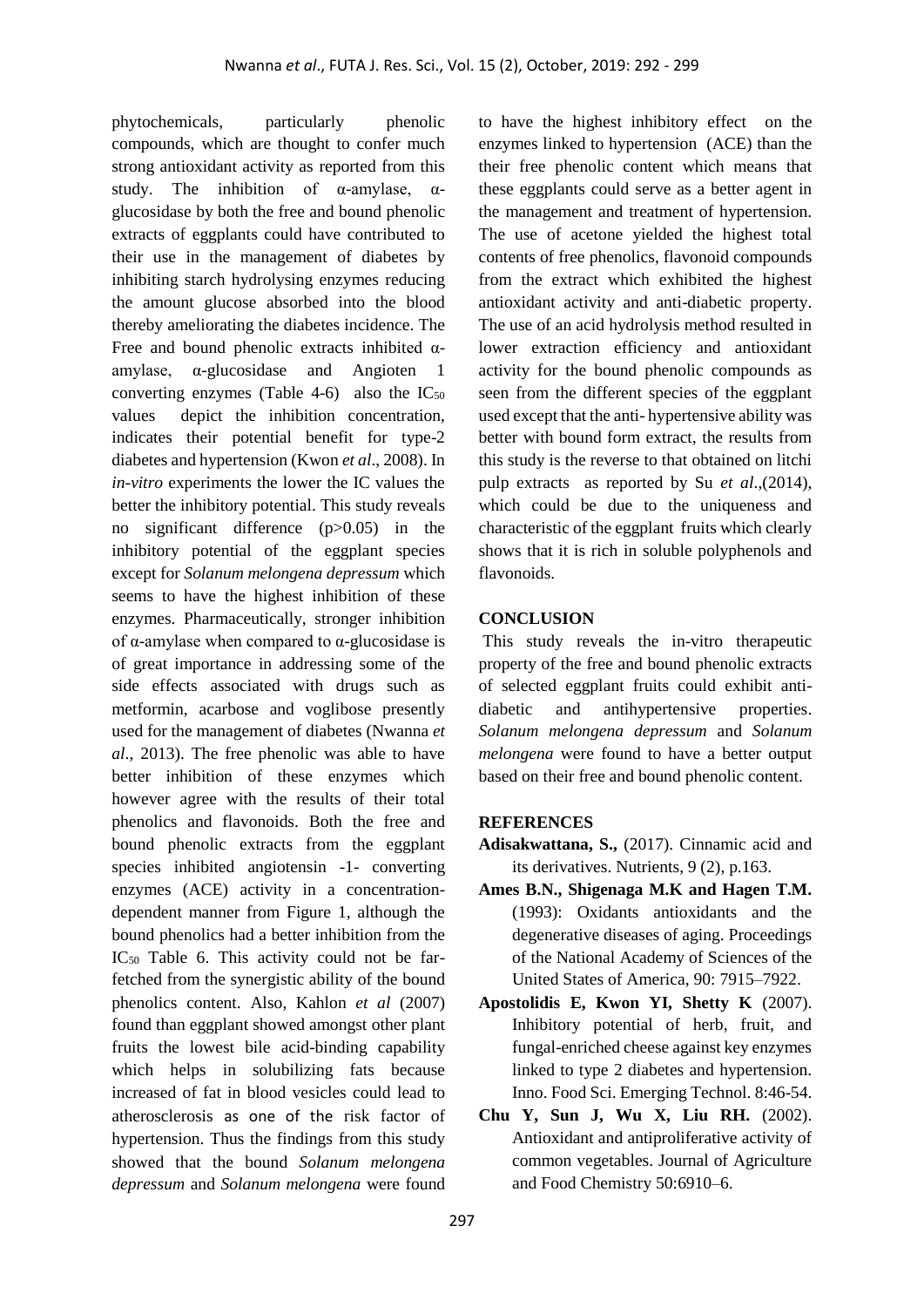phytochemicals, particularly phenolic compounds, which are thought to confer much strong antioxidant activity as reported from this study. The inhibition of  $\alpha$ -amylase,  $\alpha$ glucosidase by both the free and bound phenolic extracts of eggplants could have contributed to their use in the management of diabetes by inhibiting starch hydrolysing enzymes reducing the amount glucose absorbed into the blood thereby ameliorating the diabetes incidence. The Free and bound phenolic extracts inhibited  $\alpha$ amylase, α-glucosidase and Angioten 1 converting enzymes (Table 4-6) also the  $IC_{50}$ values depict the inhibition concentration, indicates their potential benefit for type-2 diabetes and hypertension (Kwon *et al*., 2008). In *in-vitro* experiments the lower the IC values the better the inhibitory potential. This study reveals no significant difference (p>0.05) in the inhibitory potential of the eggplant species except for *Solanum melongena depressum* which seems to have the highest inhibition of these enzymes. Pharmaceutically, stronger inhibition of α-amylase when compared to α-glucosidase is of great importance in addressing some of the side effects associated with drugs such as metformin, acarbose and voglibose presently used for the management of diabetes (Nwanna *et al*., 2013). The free phenolic was able to have better inhibition of these enzymes which however agree with the results of their total phenolics and flavonoids. Both the free and bound phenolic extracts from the eggplant species inhibited angiotensin -1- converting enzymes (ACE) activity in a concentrationdependent manner from Figure 1, although the bound phenolics had a better inhibition from the IC<sup>50</sup> Table 6. This activity could not be farfetched from the synergistic ability of the bound phenolics content. Also, Kahlon *et al* (2007) found than eggplant showed amongst other plant fruits the lowest bile acid-binding capability which helps in solubilizing fats because increased of fat in blood vesicles could lead to atherosclerosis as one of the risk factor of hypertension. Thus the findings from this study showed that the bound *Solanum melongena depressum* and *Solanum melongena* were found

to have the highest inhibitory effect on the enzymes linked to hypertension (ACE) than the their free phenolic content which means that these eggplants could serve as a better agent in the management and treatment of hypertension. The use of acetone yielded the highest total contents of free phenolics, flavonoid compounds from the extract which exhibited the highest antioxidant activity and anti-diabetic property. The use of an acid hydrolysis method resulted in lower extraction efficiency and antioxidant activity for the bound phenolic compounds as seen from the different species of the eggplant used except that the anti- hypertensive ability was better with bound form extract, the results from this study is the reverse to that obtained on litchi pulp extracts as reported by Su *et al*.,(2014), which could be due to the uniqueness and characteristic of the eggplant fruits which clearly shows that it is rich in soluble polyphenols and flavonoids.

## **CONCLUSION**

This study reveals the in-vitro therapeutic property of the free and bound phenolic extracts of selected eggplant fruits could exhibit antidiabetic and antihypertensive properties. *Solanum melongena depressum* and *Solanum melongena* were found to have a better output based on their free and bound phenolic content.

## **REFERENCES**

- **Adisakwattana, S.,** (2017). Cinnamic acid and its derivatives. Nutrients, 9 (2), p.163.
- **Ames B.N., Shigenaga M.K and Hagen T.M.** (1993): Oxidants antioxidants and the degenerative diseases of aging. Proceedings of the National Academy of Sciences of the United States of America, 90: 7915–7922.
- **Apostolidis E, Kwon YI, Shetty K** (2007). Inhibitory potential of herb, fruit, and fungal-enriched cheese against key enzymes linked to type 2 diabetes and hypertension. Inno. Food Sci. Emerging Technol. 8:46-54.
- **Chu Y, Sun J, Wu X, Liu RH.** (2002). Antioxidant and antiproliferative activity of common vegetables. Journal of Agriculture and Food Chemistry 50:6910–6.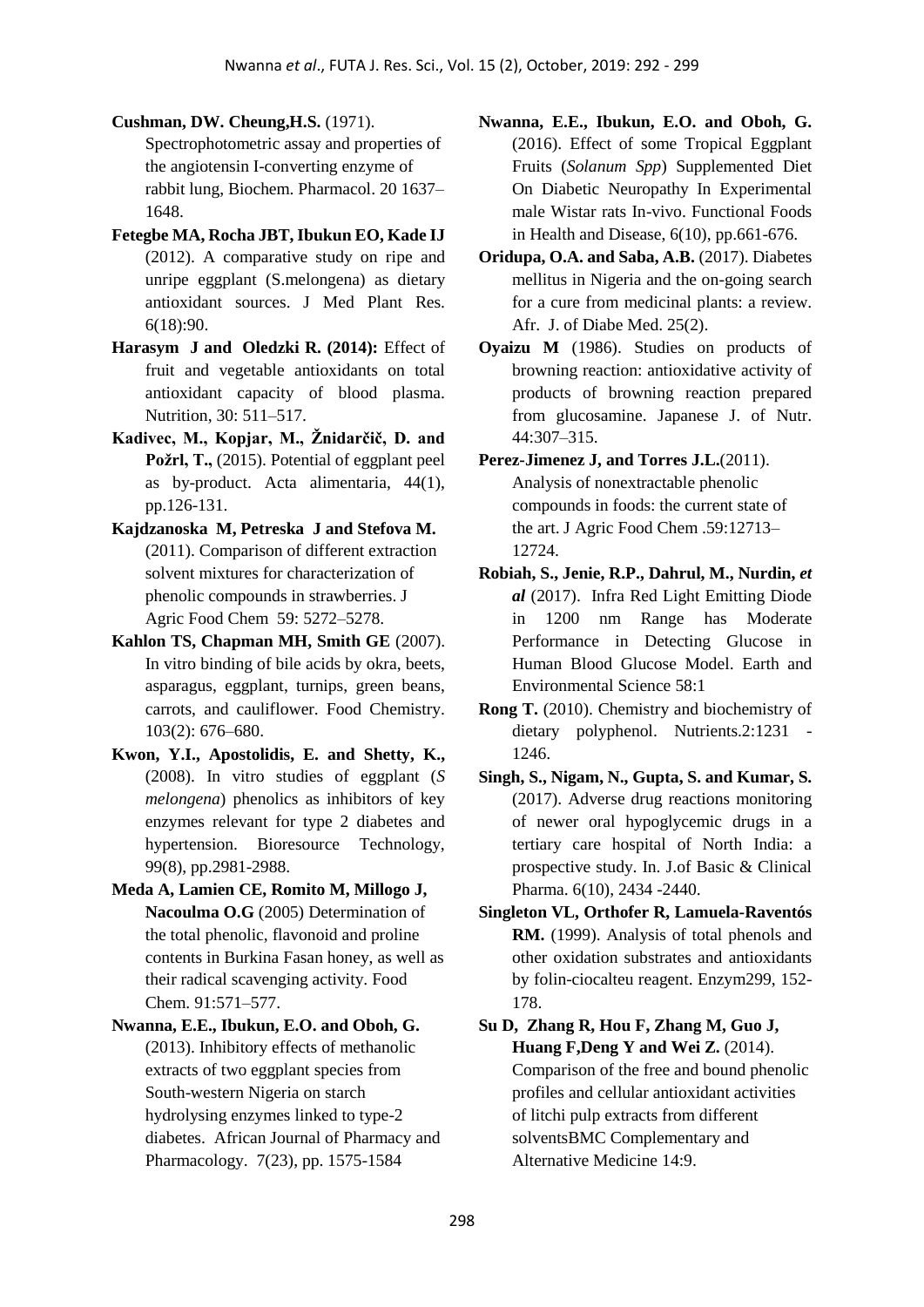- **Cushman, DW. Cheung,H.S.** (1971). Spectrophotometric assay and properties of the angiotensin I-converting enzyme of rabbit lung, Biochem. Pharmacol. 20 1637– 1648.
- **Fetegbe MA, Rocha JBT, Ibukun EO, Kade IJ** (2012). A comparative study on ripe and unripe eggplant (S.melongena) as dietary antioxidant sources. J Med Plant Res. 6(18):90.
- **Harasym J and Oledzki R. (2014):** Effect of fruit and vegetable antioxidants on total antioxidant capacity of blood plasma. Nutrition, 30: 511–517.
- **Kadivec, M., Kopjar, M., Žnidarčič, D. and Požrl, T.,** (2015). Potential of eggplant peel as by-product. Acta alimentaria, 44(1), pp.126-131.
- **Kajdzanoska M, Petreska J and Stefova M.**  (2011). Comparison of different extraction solvent mixtures for characterization of phenolic compounds in strawberries. J Agric Food Chem 59: 5272–5278.
- **Kahlon TS, Chapman MH, Smith GE** (2007). In vitro binding of bile acids by okra, beets, asparagus, eggplant, turnips, green beans, carrots, and cauliflower. Food Chemistry. 103(2): 676–680.
- **Kwon, Y.I., Apostolidis, E. and Shetty, K.,** (2008). In vitro studies of eggplant (*S melongena*) phenolics as inhibitors of key enzymes relevant for type 2 diabetes and hypertension. Bioresource Technology, 99(8), pp.2981-2988.
- **Meda A, Lamien CE, Romito M, Millogo J, Nacoulma O.G** (2005) Determination of the total phenolic, flavonoid and proline contents in Burkina Fasan honey, as well as their radical scavenging activity. Food Chem. 91:571–577.
- **Nwanna, E.E., Ibukun, E.O. and Oboh, G.**  (2013). Inhibitory effects of methanolic extracts of two eggplant species from South-western Nigeria on starch hydrolysing enzymes linked to type-2 diabetes. African Journal of Pharmacy and Pharmacology. 7(23), pp. 1575-1584
- **Nwanna, E.E., Ibukun, E.O. and Oboh, G.** (2016). Effect of some Tropical Eggplant Fruits (*Solanum Spp*) Supplemented Diet On Diabetic Neuropathy In Experimental male Wistar rats In-vivo. Functional Foods in Health and Disease, 6(10), pp.661-676.
- **Oridupa, O.A. and Saba, A.B.** (2017). Diabetes mellitus in Nigeria and the on-going search for a cure from medicinal plants: a review. Afr. J. of Diabe Med. 25(2).
- **Oyaizu M** (1986). Studies on products of browning reaction: antioxidative activity of products of browning reaction prepared from glucosamine. Japanese J. of Nutr. 44:307–315.
- Perez-Jimenez J, and Torres J.L.<sup>(2011)</sup>. Analysis of nonextractable phenolic compounds in foods: the current state of the art. J Agric Food Chem .59:12713– 12724.
- **Robiah, S., Jenie, R.P., Dahrul, M., Nurdin,** *et al* (2017). Infra Red Light Emitting Diode in 1200 nm Range has Moderate Performance in Detecting Glucose in Human Blood Glucose Model. Earth and Environmental Science 58:1
- **Rong T.** (2010). Chemistry and biochemistry of dietary polyphenol. Nutrients.2:1231 1246.
- **Singh, S., Nigam, N., Gupta, S. and Kumar, S.** (2017). Adverse drug reactions monitoring of newer oral hypoglycemic drugs in a tertiary care hospital of North India: a prospective study. In. J.of Basic & Clinical Pharma. 6(10), 2434 -2440.
- **Singleton VL, Orthofer R, Lamuela-Raventós**  RM. (1999). Analysis of total phenols and other oxidation substrates and antioxidants by folin-ciocalteu reagent. Enzym299, 152- 178.

**Su D, Zhang R, Hou F, Zhang M, Guo J, Huang F, Deng Y and Wei Z.** (2014). Comparison of the free and bound phenolic profiles and cellular antioxidant activities of litchi pulp extracts from different solventsBMC Complementary and Alternative Medicine 14:9.